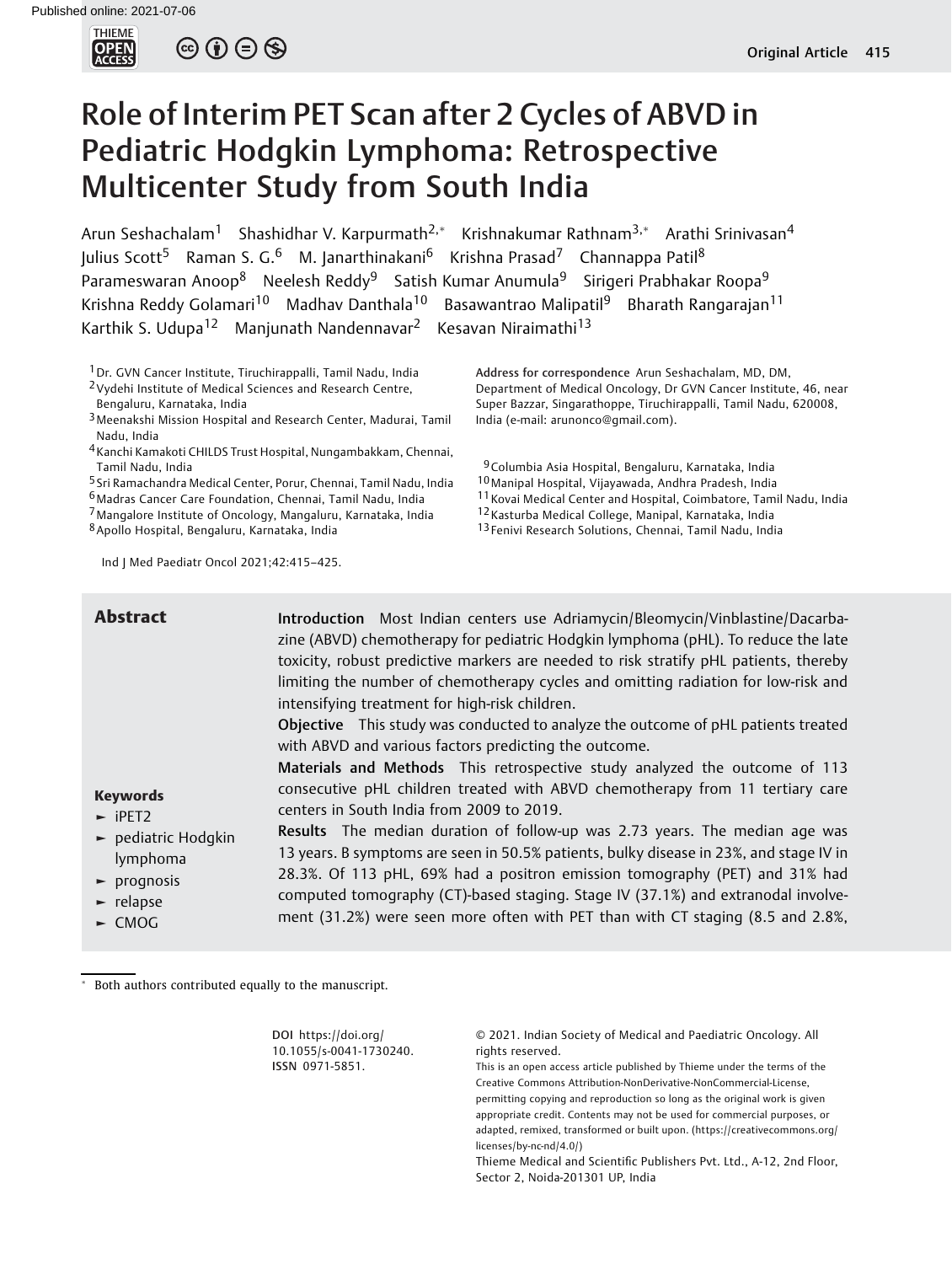

 $\circledcirc \circledcirc \circledcirc$ 

# Role of Interim PET Scan after 2 Cycles of ABVD in Pediatric Hodgkin Lymphoma: Retrospective Multicenter Study from South India

Arun Seshachalam<sup>1</sup> Shashidhar V. Karpurmath<sup>2,\*</sup> Krishnakumar Rathnam<sup>3,\*</sup> Arathi Srinivasan<sup>4</sup> Julius Scott<sup>5</sup> Raman S. G.<sup>6</sup> M. Janarthinakani<sup>6</sup> Krishna Prasad<sup>7</sup> Channappa Patil<sup>8</sup> Parameswaran Anoop<sup>8</sup> Neelesh Reddy<sup>9</sup> Satish Kumar Anumula<sup>9</sup> Sirigeri Prabhakar Roopa<sup>9</sup> Krishna Reddy Golamari<sup>10</sup> Madhav Danthala<sup>10</sup> Basawantrao Malipatil<sup>9</sup> Bharath Rangarajan<sup>11</sup> Karthik S. Udupa<sup>12</sup> Manjunath Nandennavar<sup>2</sup> Kesavan Niraimathi<sup>13</sup>

1Dr. GVN Cancer Institute, Tiruchirappalli, Tamil Nadu, India

2Vydehi Institute of Medical Sciences and Research Centre, Bengaluru, Karnataka, India

3Meenakshi Mission Hospital and Research Center, Madurai, Tamil Nadu, India

4Kanchi Kamakoti CHILDS Trust Hospital, Nungambakkam, Chennai, Tamil Nadu, India

5 Sri Ramachandra Medical Center, Porur, Chennai, Tamil Nadu, India

6Madras Cancer Care Foundation, Chennai, Tamil Nadu, India

7Mangalore Institute of Oncology, Mangaluru, Karnataka, India

8Apollo Hospital, Bengaluru, Karnataka, India

Ind J Med Paediatr Oncol 2021;42:415–425.

Address for correspondence Arun Seshachalam, MD, DM, Department of Medical Oncology, Dr GVN Cancer Institute, 46, near Super Bazzar, Singarathoppe, Tiruchirappalli, Tamil Nadu, 620008, India (e-mail: [arunonco@gmail.com](mailto:arunonco@gmail.com)).

9Columbia Asia Hospital, Bengaluru, Karnataka, India

- 10Manipal Hospital, Vijayawada, Andhra Pradesh, India
- 11Kovai Medical Center and Hospital, Coimbatore, Tamil Nadu, India
- 12Kasturba Medical College, Manipal, Karnataka, India

13 Fenivi Research Solutions, Chennai, Tamil Nadu, India

| <b>Abstract</b>                                                                                                                        | Introduction Most Indian centers use Adriamycin/Bleomycin/Vinblastine/Dacarba-<br>zine (ABVD) chemotherapy for pediatric Hodgkin lymphoma (pHL). To reduce the late<br>toxicity, robust predictive markers are needed to risk stratify pHL patients, thereby<br>limiting the number of chemotherapy cycles and omitting radiation for low-risk and<br>intensifying treatment for high-risk children.<br>Objective This study was conducted to analyze the outcome of pHL patients treated |
|----------------------------------------------------------------------------------------------------------------------------------------|-------------------------------------------------------------------------------------------------------------------------------------------------------------------------------------------------------------------------------------------------------------------------------------------------------------------------------------------------------------------------------------------------------------------------------------------------------------------------------------------|
| <b>Keywords</b><br>$\blacktriangleright$ iPET2                                                                                         | with ABVD and various factors predicting the outcome.<br>Materials and Methods This retrospective study analyzed the outcome of 113<br>consecutive pHL children treated with ABVD chemotherapy from 11 tertiary care<br>centers in South India from 2009 to 2019.                                                                                                                                                                                                                         |
| $\blacktriangleright$ pediatric Hodgkin<br>lymphoma<br>$\blacktriangleright$ prognosis<br>$\blacktriangleright$ relapse<br>$\sim$ CMOG | Results The median duration of follow-up was 2.73 years. The median age was<br>13 years. B symptoms are seen in 50.5% patients, bulky disease in 23%, and stage IV in<br>28.3%. Of 113 pHL, 69% had a positron emission tomography (PET) and 31% had<br>computed tomography (CT)-based staging. Stage IV (37.1%) and extranodal involve-<br>ment (31.2%) were seen more often with PET than with CT staging (8.5 and 2.8%,                                                                |

Both authors contributed equally to the manuscript.

| DOI https://doi.org/<br>10.1055/s-0041-1730240. | © 2021. Indian Society of Medical and Paediatric Oncology. All<br>rights reserved. |
|-------------------------------------------------|------------------------------------------------------------------------------------|
| ISSN 0971-5851.                                 | This is an open access article published by Thieme under the terms of the          |
|                                                 | Creative Commons Attribution-NonDerivative-NonCommercial-License,                  |
|                                                 | permitting copying and reproduction so long as the original work is given          |
|                                                 | appropriate credit. Contents may not be used for commercial purposes, or           |
|                                                 | adapted, remixed, transformed or built upon. (https://creativecommons.org/         |
|                                                 | licenses/by-nc-nd/4.0/)                                                            |
|                                                 | Thieme Medical and Scientific Publishers Pvt. Ltd., A-12, 2nd Floor,               |

Sector 2, Noida-201301 UP, India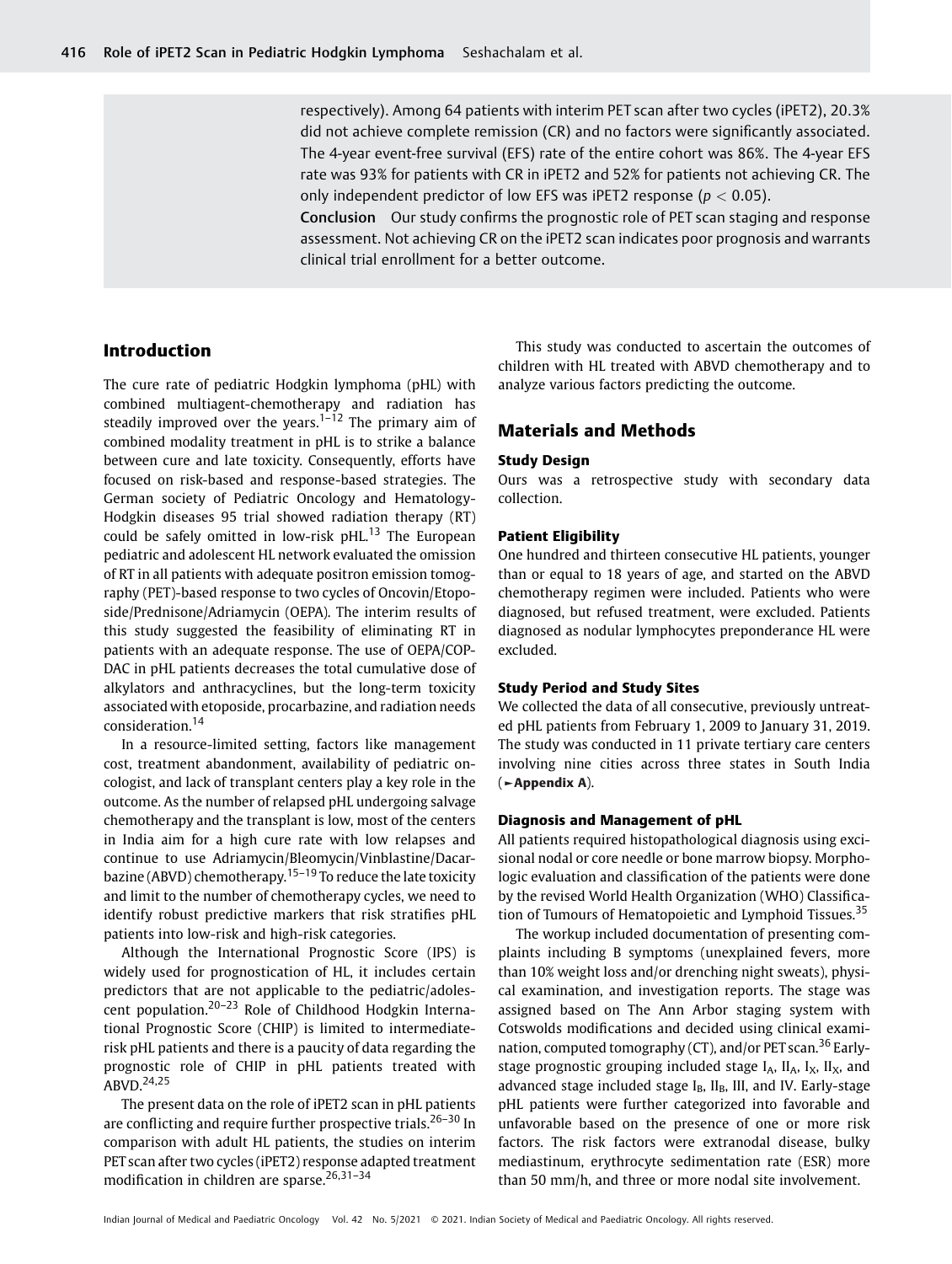respectively). Among 64 patients with interim PET scan after two cycles (iPET2), 20.3% did not achieve complete remission (CR) and no factors were significantly associated. The 4-year event-free survival (EFS) rate of the entire cohort was 86%. The 4-year EFS rate was 93% for patients with CR in iPET2 and 52% for patients not achieving CR. The only independent predictor of low EFS was iPET2 response ( $p < 0.05$ ).

Conclusion Our study confirms the prognostic role of PET scan staging and response assessment. Not achieving CR on the iPET2 scan indicates poor prognosis and warrants clinical trial enrollment for a better outcome.

# Introduction

The cure rate of pediatric Hodgkin lymphoma (pHL) with combined multiagent-chemotherapy and radiation has steadily improved over the years. $1-12$  The primary aim of combined modality treatment in pHL is to strike a balance between cure and late toxicity. Consequently, efforts have focused on risk-based and response-based strategies. The German society of Pediatric Oncology and Hematology-Hodgkin diseases 95 trial showed radiation therapy (RT) could be safely omitted in low-risk pHL.<sup>13</sup> The European pediatric and adolescent HL network evaluated the omission of RT in all patients with adequate positron emission tomography (PET)-based response to two cycles of Oncovin/Etoposide/Prednisone/Adriamycin (OEPA). The interim results of this study suggested the feasibility of eliminating RT in patients with an adequate response. The use of OEPA/COP-DAC in pHL patients decreases the total cumulative dose of alkylators and anthracyclines, but the long-term toxicity associated with etoposide, procarbazine, and radiation needs consideration.<sup>14</sup>

In a resource-limited setting, factors like management cost, treatment abandonment, availability of pediatric oncologist, and lack of transplant centers play a key role in the outcome. As the number of relapsed pHL undergoing salvage chemotherapy and the transplant is low, most of the centers in India aim for a high cure rate with low relapses and continue to use Adriamycin/Bleomycin/Vinblastine/Dacarbazine (ABVD) chemotherapy.<sup>15–19</sup> To reduce the late toxicity and limit to the number of chemotherapy cycles, we need to identify robust predictive markers that risk stratifies pHL patients into low-risk and high-risk categories.

Although the International Prognostic Score (IPS) is widely used for prognostication of HL, it includes certain predictors that are not applicable to the pediatric/adolescent population.20–<sup>23</sup> Role of Childhood Hodgkin International Prognostic Score (CHIP) is limited to intermediaterisk pHL patients and there is a paucity of data regarding the prognostic role of CHIP in pHL patients treated with ABVD.24,25

The present data on the role of iPET2 scan in pHL patients are conflicting and require further prospective trials.<sup>26–30</sup> In comparison with adult HL patients, the studies on interim PET scan after two cycles (iPET2) response adapted treatment modification in children are sparse.<sup>26,31-34</sup>

This study was conducted to ascertain the outcomes of children with HL treated with ABVD chemotherapy and to analyze various factors predicting the outcome.

# Materials and Methods

### Study Design

Ours was a retrospective study with secondary data collection.

## Patient Eligibility

One hundred and thirteen consecutive HL patients, younger than or equal to 18 years of age, and started on the ABVD chemotherapy regimen were included. Patients who were diagnosed, but refused treatment, were excluded. Patients diagnosed as nodular lymphocytes preponderance HL were excluded.

## Study Period and Study Sites

We collected the data of all consecutive, previously untreated pHL patients from February 1, 2009 to January 31, 2019. The study was conducted in 11 private tertiary care centers involving nine cities across three states in South India (►Appendix A).

## Diagnosis and Management of pHL

All patients required histopathological diagnosis using excisional nodal or core needle or bone marrow biopsy. Morphologic evaluation and classification of the patients were done by the revised World Health Organization (WHO) Classification of Tumours of Hematopoietic and Lymphoid Tissues.<sup>35</sup>

The workup included documentation of presenting complaints including B symptoms (unexplained fevers, more than 10% weight loss and/or drenching night sweats), physical examination, and investigation reports. The stage was assigned based on The Ann Arbor staging system with Cotswolds modifications and decided using clinical examination, computed tomography (CT), and/or PET scan.<sup>36</sup> Earlystage prognostic grouping included stage  $I_A$ ,  $II_A$ ,  $I_X$ ,  $II_X$ , and advanced stage included stage  $I_B$ ,  $II_B$ , III, and IV. Early-stage pHL patients were further categorized into favorable and unfavorable based on the presence of one or more risk factors. The risk factors were extranodal disease, bulky mediastinum, erythrocyte sedimentation rate (ESR) more than 50 mm/h, and three or more nodal site involvement.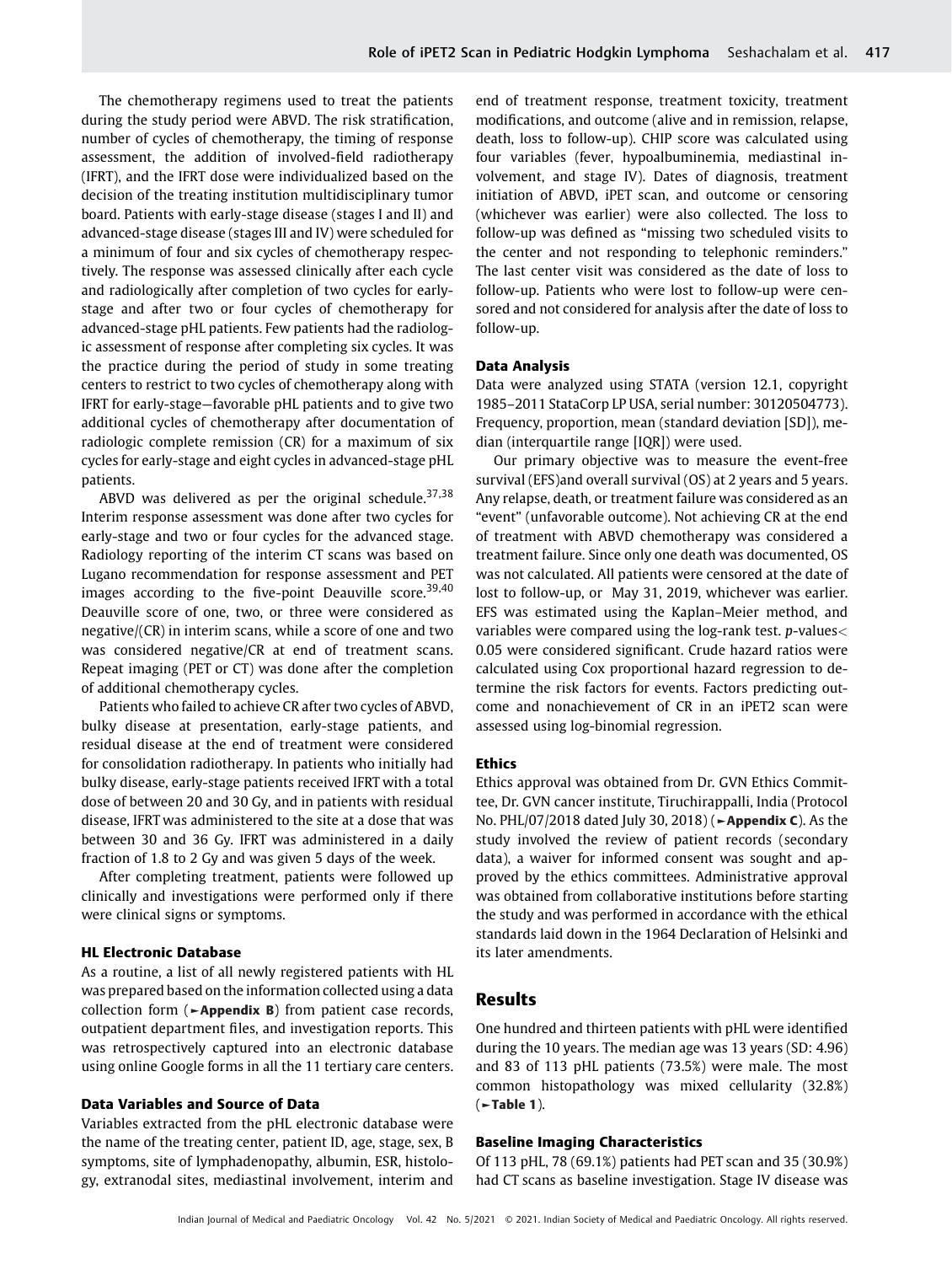The chemotherapy regimens used to treat the patients during the study period were ABVD. The risk stratification, number of cycles of chemotherapy, the timing of response assessment, the addition of involved-field radiotherapy (IFRT), and the IFRT dose were individualized based on the decision of the treating institution multidisciplinary tumor board. Patients with early-stage disease (stages I and II) and advanced-stage disease (stages III and IV) were scheduled for a minimum of four and six cycles of chemotherapy respectively. The response was assessed clinically after each cycle and radiologically after completion of two cycles for earlystage and after two or four cycles of chemotherapy for advanced-stage pHL patients. Few patients had the radiologic assessment of response after completing six cycles. It was the practice during the period of study in some treating centers to restrict to two cycles of chemotherapy along with IFRT for early-stage—favorable pHL patients and to give two additional cycles of chemotherapy after documentation of radiologic complete remission (CR) for a maximum of six cycles for early-stage and eight cycles in advanced-stage pHL patients.

ABVD was delivered as per the original schedule.  $37,38$ Interim response assessment was done after two cycles for early-stage and two or four cycles for the advanced stage. Radiology reporting of the interim CT scans was based on Lugano recommendation for response assessment and PET images according to the five-point Deauville score.<sup>39,40</sup> Deauville score of one, two, or three were considered as negative/(CR) in interim scans, while a score of one and two was considered negative/CR at end of treatment scans. Repeat imaging (PET or CT) was done after the completion of additional chemotherapy cycles.

Patients who failed to achieve CR after two cycles of ABVD, bulky disease at presentation, early-stage patients, and residual disease at the end of treatment were considered for consolidation radiotherapy. In patients who initially had bulky disease, early-stage patients received IFRT with a total dose of between 20 and 30 Gy, and in patients with residual disease, IFRT was administered to the site at a dose that was between 30 and 36 Gy. IFRT was administered in a daily fraction of 1.8 to 2 Gy and was given 5 days of the week.

After completing treatment, patients were followed up clinically and investigations were performed only if there were clinical signs or symptoms.

## HL Electronic Database

As a routine, a list of all newly registered patients with HL was prepared based on the information collected using a data collection form ( $\blacktriangleright$ Appendix B) from patient case records, outpatient department files, and investigation reports. This was retrospectively captured into an electronic database using online Google forms in all the 11 tertiary care centers.

## Data Variables and Source of Data

Variables extracted from the pHL electronic database were the name of the treating center, patient ID, age, stage, sex, B symptoms, site of lymphadenopathy, albumin, ESR, histology, extranodal sites, mediastinal involvement, interim and end of treatment response, treatment toxicity, treatment modifications, and outcome (alive and in remission, relapse, death, loss to follow-up). CHIP score was calculated using four variables (fever, hypoalbuminemia, mediastinal involvement, and stage IV). Dates of diagnosis, treatment initiation of ABVD, iPET scan, and outcome or censoring (whichever was earlier) were also collected. The loss to follow-up was defined as "missing two scheduled visits to the center and not responding to telephonic reminders." The last center visit was considered as the date of loss to follow-up. Patients who were lost to follow-up were censored and not considered for analysis after the date of loss to follow-up.

#### Data Analysis

Data were analyzed using STATA (version 12.1, copyright 1985–2011 StataCorp LP USA, serial number: 30120504773). Frequency, proportion, mean (standard deviation [SD]), median (interquartile range [IQR]) were used.

Our primary objective was to measure the event-free survival (EFS)and overall survival (OS) at 2 years and 5 years. Any relapse, death, or treatment failure was considered as an "event" (unfavorable outcome). Not achieving CR at the end of treatment with ABVD chemotherapy was considered a treatment failure. Since only one death was documented, OS was not calculated. All patients were censored at the date of lost to follow-up, or May 31, 2019, whichever was earlier. EFS was estimated using the Kaplan–Meier method, and variables were compared using the log-rank test. p-values< 0.05 were considered significant. Crude hazard ratios were calculated using Cox proportional hazard regression to determine the risk factors for events. Factors predicting outcome and nonachievement of CR in an iPET2 scan were assessed using log-binomial regression.

#### Ethics

Ethics approval was obtained from Dr. GVN Ethics Committee, Dr. GVN cancer institute, Tiruchirappalli, India (Protocol No. PHL/07/2018 dated July 30, 2018) (►Appendix C). As the study involved the review of patient records (secondary data), a waiver for informed consent was sought and approved by the ethics committees. Administrative approval was obtained from collaborative institutions before starting the study and was performed in accordance with the ethical standards laid down in the 1964 Declaration of Helsinki and its later amendments.

## Results

One hundred and thirteen patients with pHL were identified during the 10 years. The median age was 13 years (SD: 4.96) and 83 of 113 pHL patients (73.5%) were male. The most common histopathology was mixed cellularity (32.8%)  $($   $\blacktriangleright$  Table 1).

## Baseline Imaging Characteristics

Of 113 pHL, 78 (69.1%) patients had PET scan and 35 (30.9%) had CT scans as baseline investigation. Stage IV disease was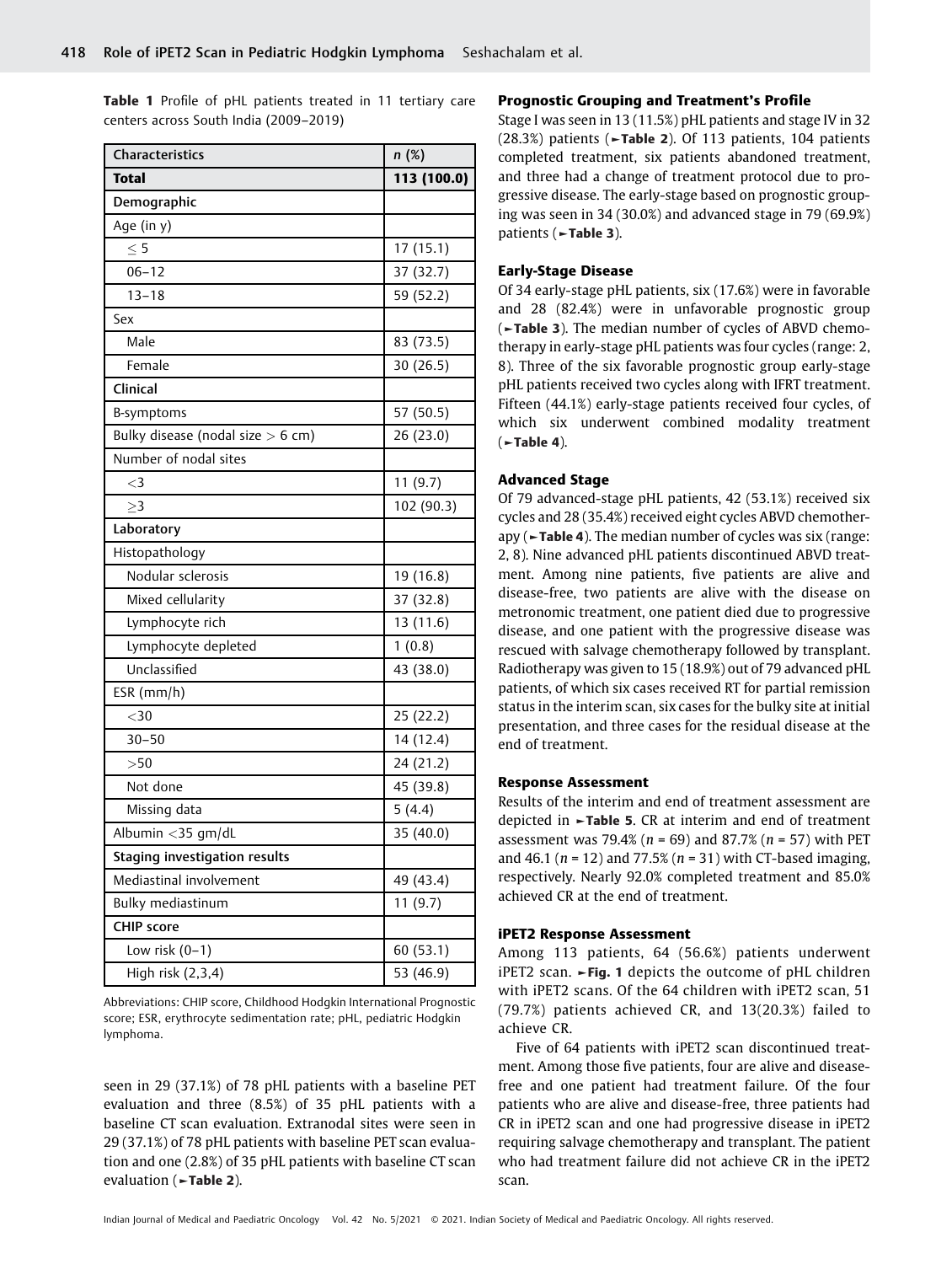Table 1 Profile of pHL patients treated in 11 tertiary care centers across South India (2009–2019)

| <b>Characteristics</b>              | n(%)        |
|-------------------------------------|-------------|
| <b>Total</b>                        | 113 (100.0) |
| Demographic                         |             |
| Age (in y)                          |             |
| $\leq 5$                            | 17(15.1)    |
| $06 - 12$                           | 37 (32.7)   |
| $13 - 18$                           | 59 (52.2)   |
| Sex                                 |             |
| Male                                | 83 (73.5)   |
| Female                              | 30 (26.5)   |
| Clinical                            |             |
| B-symptoms                          | 57 (50.5)   |
| Bulky disease (nodal size $> 6$ cm) | 26 (23.0)   |
| Number of nodal sites               |             |
| $\leq$ 3                            | 11(9.7)     |
| >3                                  | 102 (90.3)  |
| Laboratory                          |             |
| Histopathology                      |             |
| Nodular sclerosis                   | 19 (16.8)   |
| Mixed cellularity                   | 37 (32.8)   |
| Lymphocyte rich                     | 13 (11.6)   |
| Lymphocyte depleted                 | 1(0.8)      |
| Unclassified                        | 43 (38.0)   |
| $ESR$ (mm/h)                        |             |
| $<$ 30                              | 25(22.2)    |
| $30 - 50$                           | 14 (12.4)   |
| >50                                 | 24 (21.2)   |
| Not done                            | 45 (39.8)   |
| Missing data                        | 5(4.4)      |
| Albumin < 35 gm/dL                  | 35 (40.0)   |
| Staging investigation results       |             |
| Mediastinal involvement             | 49 (43.4)   |
| Bulky mediastinum                   | 11(9.7)     |
| <b>CHIP</b> score                   |             |
| Low risk $(0-1)$                    | 60 (53.1)   |
| High risk (2,3,4)                   | 53 (46.9)   |

Abbreviations: CHIP score, Childhood Hodgkin International Prognostic score; ESR, erythrocyte sedimentation rate; pHL, pediatric Hodgkin lymphoma.

seen in 29 (37.1%) of 78 pHL patients with a baseline PET evaluation and three (8.5%) of 35 pHL patients with a baseline CT scan evaluation. Extranodal sites were seen in 29 (37.1%) of 78 pHL patients with baseline PET scan evaluation and one (2.8%) of 35 pHL patients with baseline CT scan evaluation (►Table 2).

## Prognostic Grouping and Treatment's Profile

Stage I was seen in 13 (11.5%) pHL patients and stage IV in 32 (28.3%) patients (►Table 2). Of 113 patients, 104 patients completed treatment, six patients abandoned treatment, and three had a change of treatment protocol due to progressive disease. The early-stage based on prognostic grouping was seen in 34 (30.0%) and advanced stage in 79 (69.9%) patients (►Table 3).

## Early-Stage Disease

Of 34 early-stage pHL patients, six (17.6%) were in favorable and 28 (82.4%) were in unfavorable prognostic group (►Table 3). The median number of cycles of ABVD chemotherapy in early-stage pHL patients was four cycles (range: 2, 8). Three of the six favorable prognostic group early-stage pHL patients received two cycles along with IFRT treatment. Fifteen (44.1%) early-stage patients received four cycles, of which six underwent combined modality treatment  $(-Table 4).$ 

### Advanced Stage

Of 79 advanced-stage pHL patients, 42 (53.1%) received six cycles and 28 (35.4%) received eight cycles ABVD chemotherapy (►Table 4). The median number of cycles was six (range: 2, 8). Nine advanced pHL patients discontinued ABVD treatment. Among nine patients, five patients are alive and disease-free, two patients are alive with the disease on metronomic treatment, one patient died due to progressive disease, and one patient with the progressive disease was rescued with salvage chemotherapy followed by transplant. Radiotherapy was given to 15 (18.9%) out of 79 advanced pHL patients, of which six cases received RT for partial remission status in the interim scan, six cases for the bulky site at initial presentation, and three cases for the residual disease at the end of treatment.

#### Response Assessment

Results of the interim and end of treatment assessment are depicted in ►Table 5. CR at interim and end of treatment assessment was 79.4% ( $n = 69$ ) and 87.7% ( $n = 57$ ) with PET and 46.1 ( $n = 12$ ) and 77.5% ( $n = 31$ ) with CT-based imaging, respectively. Nearly 92.0% completed treatment and 85.0% achieved CR at the end of treatment.

## iPET2 Response Assessment

Among 113 patients, 64 (56.6%) patients underwent iPET2 scan. ►Fig. 1 depicts the outcome of pHL children with iPET2 scans. Of the 64 children with iPET2 scan, 51 (79.7%) patients achieved CR, and 13(20.3%) failed to achieve CR.

Five of 64 patients with iPET2 scan discontinued treatment. Among those five patients, four are alive and diseasefree and one patient had treatment failure. Of the four patients who are alive and disease-free, three patients had CR in iPET2 scan and one had progressive disease in iPET2 requiring salvage chemotherapy and transplant. The patient who had treatment failure did not achieve CR in the iPET2 scan.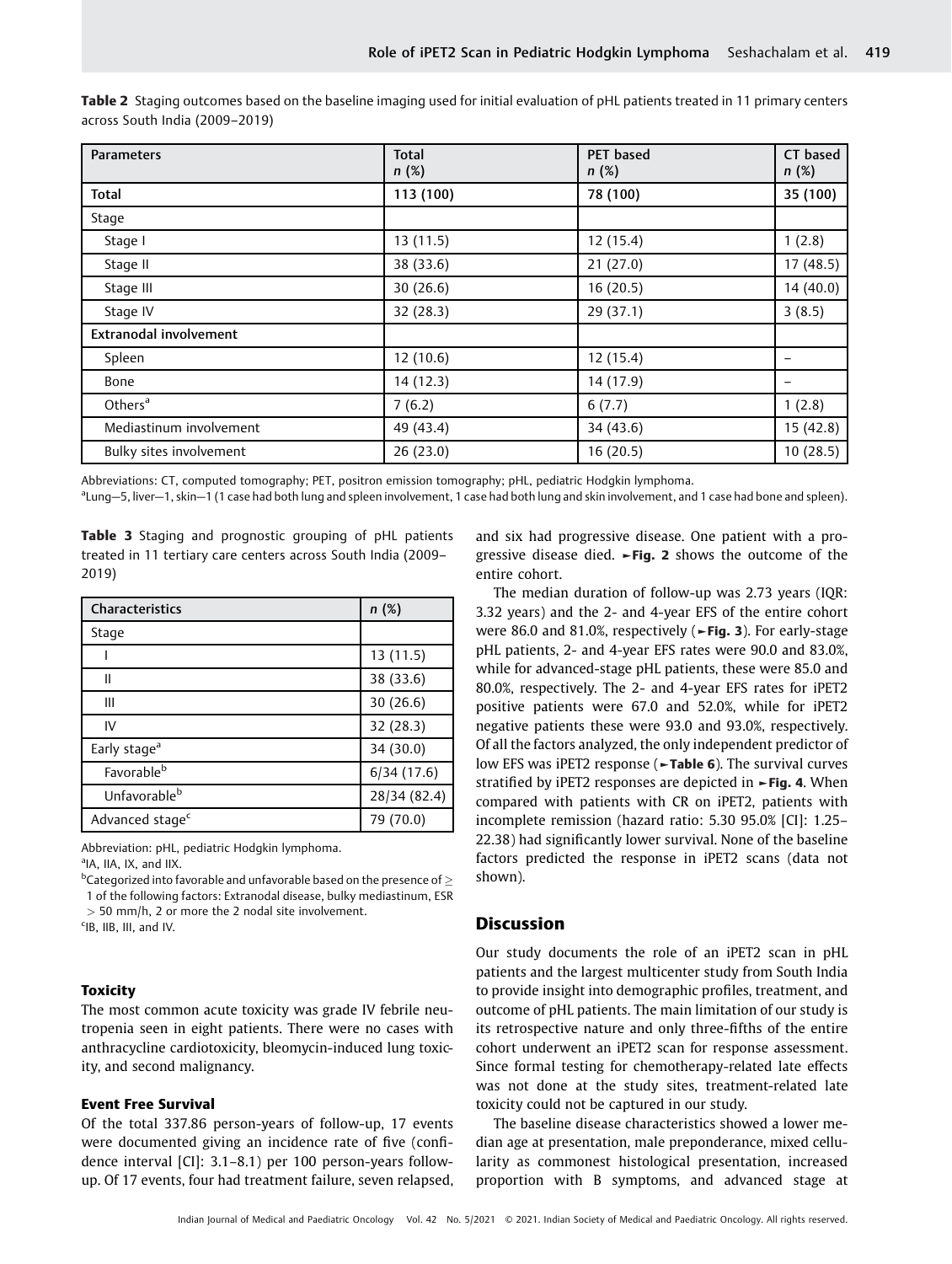| <b>Parameters</b>       | <b>Total</b><br>n(%) | <b>PET</b> based<br>n(%) | CT based<br>n(%) |
|-------------------------|----------------------|--------------------------|------------------|
| <b>Total</b>            | 113 (100)            | 78 (100)                 | 35 (100)         |
| Stage                   |                      |                          |                  |
| Stage I                 | 13(11.5)             | 12 (15.4)                | 1(2.8)           |
| Stage II                | 38 (33.6)            | 21(27.0)                 | 17(48.5)         |
| Stage III               | 30(26.6)             | 16 (20.5)                | 14(40.0)         |
| Stage IV                | 32 (28.3)            | 29 (37.1)                | 3(8.5)           |
| Extranodal involvement  |                      |                          |                  |
| Spleen                  | 12(10.6)             | 12 (15.4)                |                  |
| Bone                    | 14 (12.3)            | 14 (17.9)                |                  |
| Others <sup>a</sup>     | 7(6.2)               | 6(7.7)                   | 1(2.8)           |
| Mediastinum involvement | 49 (43.4)            | 34 (43.6)                | 15(42.8)         |
| Bulky sites involvement | 26(23.0)             | 16(20.5)                 | 10(28.5)         |

Table 2 Staging outcomes based on the baseline imaging used for initial evaluation of pHL patients treated in 11 primary centers across South India (2009–2019)

Abbreviations: CT, computed tomography; PET, positron emission tomography; pHL, pediatric Hodgkin lymphoma.

a Lung—5, liver—1, skin—1 (1 case had both lung and spleen involvement, 1 case had both lung and skin involvement, and 1 case had bone and spleen).

Table 3 Staging and prognostic grouping of pHL patients treated in 11 tertiary care centers across South India (2009– 2019)

| Characteristics             | n(%)         |  |
|-----------------------------|--------------|--|
| Stage                       |              |  |
|                             | 13 (11.5)    |  |
| Ш                           | 38 (33.6)    |  |
| Ш                           | 30(26.6)     |  |
| IV                          | 32 (28.3)    |  |
| Early stage <sup>a</sup>    | 34 (30.0)    |  |
| Favorable <sup>b</sup>      | 6/34(17.6)   |  |
| Unfavorable <sup>b</sup>    | 28/34 (82.4) |  |
| Advanced stage <sup>c</sup> | 79 (70.0)    |  |

Abbreviation: pHL, pediatric Hodgkin lymphoma.

<sup>a</sup>IA, IIA, IX, and IIX.

 $^{\rm b}$ Categorized into favorable and unfavorable based on the presence of  $\geq$ 

1 of the following factors: Extranodal disease, bulky mediastinum, ESR

 $>$  50 mm/h, 2 or more the 2 nodal site involvement.

c IB, IIB, III, and IV.

# **Toxicity**

The most common acute toxicity was grade IV febrile neutropenia seen in eight patients. There were no cases with anthracycline cardiotoxicity, bleomycin-induced lung toxicity, and second malignancy.

### Event Free Survival

Of the total 337.86 person-years of follow-up, 17 events were documented giving an incidence rate of five (confidence interval [CI]: 3.1–8.1) per 100 person-years followup. Of 17 events, four had treatment failure, seven relapsed,

and six had progressive disease. One patient with a progressive disease died. ►Fig. 2 shows the outcome of the entire cohort.

The median duration of follow-up was 2.73 years (IQR: 3.32 years) and the 2- and 4-year EFS of the entire cohort were 86.0 and 81.0%, respectively (►Fig. 3). For early-stage pHL patients, 2- and 4-year EFS rates were 90.0 and 83.0%, while for advanced-stage pHL patients, these were 85.0 and 80.0%, respectively. The 2- and 4-year EFS rates for iPET2 positive patients were 67.0 and 52.0%, while for iPET2 negative patients these were 93.0 and 93.0%, respectively. Of all the factors analyzed, the only independent predictor of low EFS was iPET2 response (►Table 6). The survival curves stratified by iPET2 responses are depicted in ►Fig. 4. When compared with patients with CR on iPET2, patients with incomplete remission (hazard ratio: 5.30 95.0% [CI]: 1.25– 22.38) had significantly lower survival. None of the baseline factors predicted the response in iPET2 scans (data not shown).

# Discussion

Our study documents the role of an iPET2 scan in pHL patients and the largest multicenter study from South India to provide insight into demographic profiles, treatment, and outcome of pHL patients. The main limitation of our study is its retrospective nature and only three-fifths of the entire cohort underwent an iPET2 scan for response assessment. Since formal testing for chemotherapy-related late effects was not done at the study sites, treatment-related late toxicity could not be captured in our study.

The baseline disease characteristics showed a lower median age at presentation, male preponderance, mixed cellularity as commonest histological presentation, increased proportion with B symptoms, and advanced stage at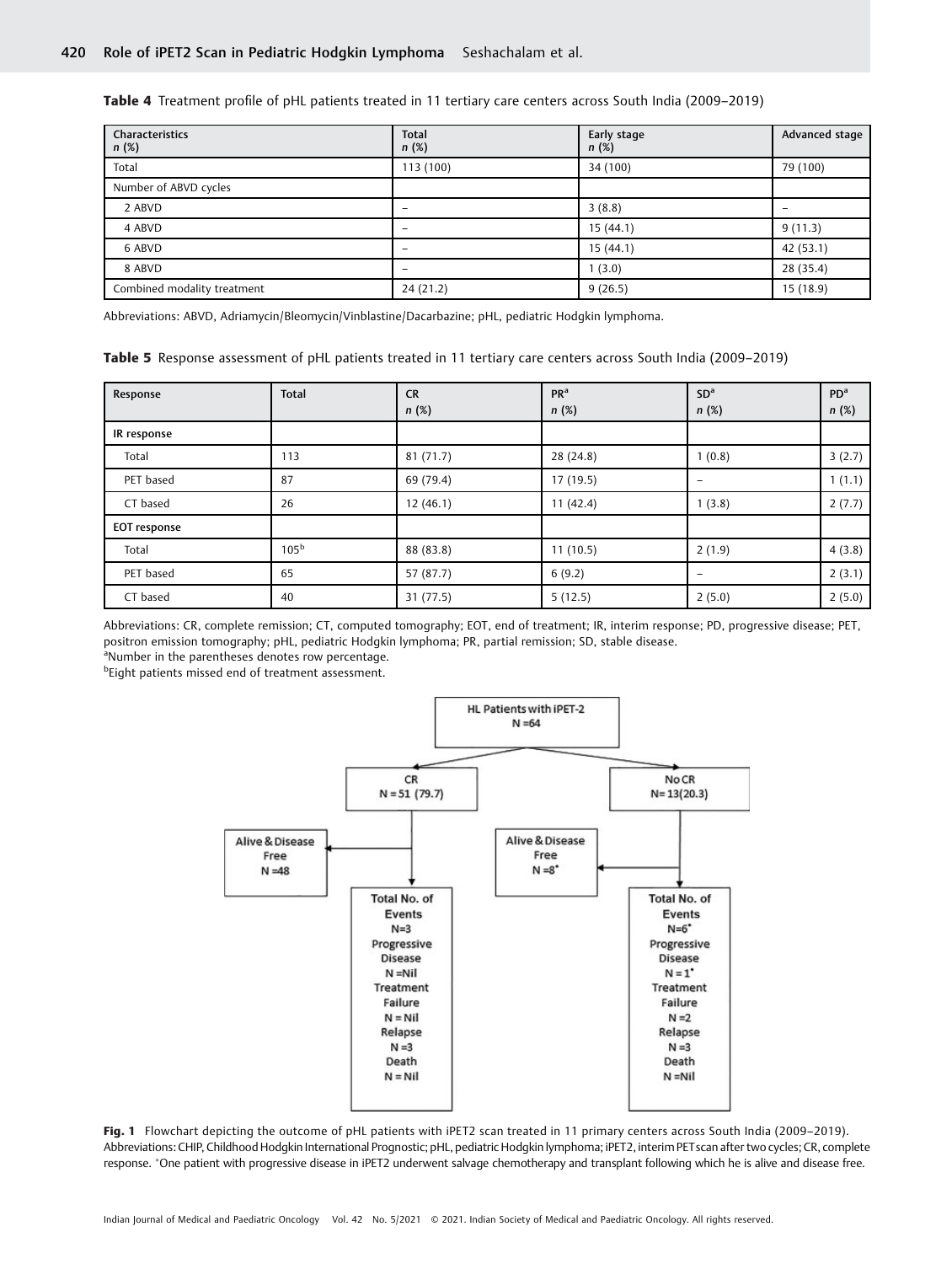Table 4 Treatment profile of pHL patients treated in 11 tertiary care centers across South India (2009–2019)

| Characteristics<br>n(%)     | <b>Total</b><br>n(%) | Early stage<br>n(%) | Advanced stage |
|-----------------------------|----------------------|---------------------|----------------|
| Total                       | 113(100)             | 34 (100)            | 79 (100)       |
| Number of ABVD cycles       |                      |                     |                |
| 2 ABVD                      |                      | 3(8.8)              | -              |
| 4 ABVD                      | -                    | 15(44.1)            | 9(11.3)        |
| 6 ABVD                      |                      | 15 (44.1)           | 42 (53.1)      |
| 8 ABVD                      | -                    | (3.0)               | 28 (35.4)      |
| Combined modality treatment | 24(21.2)             | 9(26.5)             | 15(18.9)       |

Abbreviations: ABVD, Adriamycin/Bleomycin/Vinblastine/Dacarbazine; pHL, pediatric Hodgkin lymphoma.

| <b>Table 5</b> Response assessment of pHL patients treated in 11 tertiary care centers across South India (2009–2019) |  |  |  |
|-----------------------------------------------------------------------------------------------------------------------|--|--|--|
|                                                                                                                       |  |  |  |

| Response            | <b>Total</b>     | <b>CR</b><br>n(%) | PR <sup>a</sup><br>n(%) | SD <sup>a</sup><br>n(%) | PD <sup>a</sup><br>n(%) |
|---------------------|------------------|-------------------|-------------------------|-------------------------|-------------------------|
| IR response         |                  |                   |                         |                         |                         |
| Total               | 113              | 81 (71.7)         | 28 (24.8)               | 1(0.8)                  | 3(2.7)                  |
| PET based           | 87               | 69 (79.4)         | 17 (19.5)               | -                       | 1(1.1)                  |
| CT based            | 26               | 12(46.1)          | 11(42.4)                | 1(3.8)                  | 2(7.7)                  |
| <b>EOT</b> response |                  |                   |                         |                         |                         |
| Total               | 105 <sup>b</sup> | 88 (83.8)         | 11(10.5)                | 2(1.9)                  | 4(3.8)                  |
| PET based           | 65               | 57 (87.7)         | 6(9.2)                  | -                       | 2(3.1)                  |
| CT based            | 40               | 31(77.5)          | 5(12.5)                 | 2(5.0)                  | 2(5.0)                  |

Abbreviations: CR, complete remission; CT, computed tomography; EOT, end of treatment; IR, interim response; PD, progressive disease; PET, positron emission tomography; pHL, pediatric Hodgkin lymphoma; PR, partial remission; SD, stable disease.

<sup>a</sup>Number in the parentheses denotes row percentage.

<sup>b</sup>Eight patients missed end of treatment assessment.



Fig. 1 Flowchart depicting the outcome of pHL patients with iPET2 scan treated in 11 primary centers across South India (2009–2019). Abbreviations: CHIP, Childhood Hodgkin International Prognostic; pHL, pediatric Hodgkin lymphoma; iPET2, interim PETscan after two cycles; CR, complete response. One patient with progressive disease in iPET2 underwent salvage chemotherapy and transplant following which he is alive and disease free.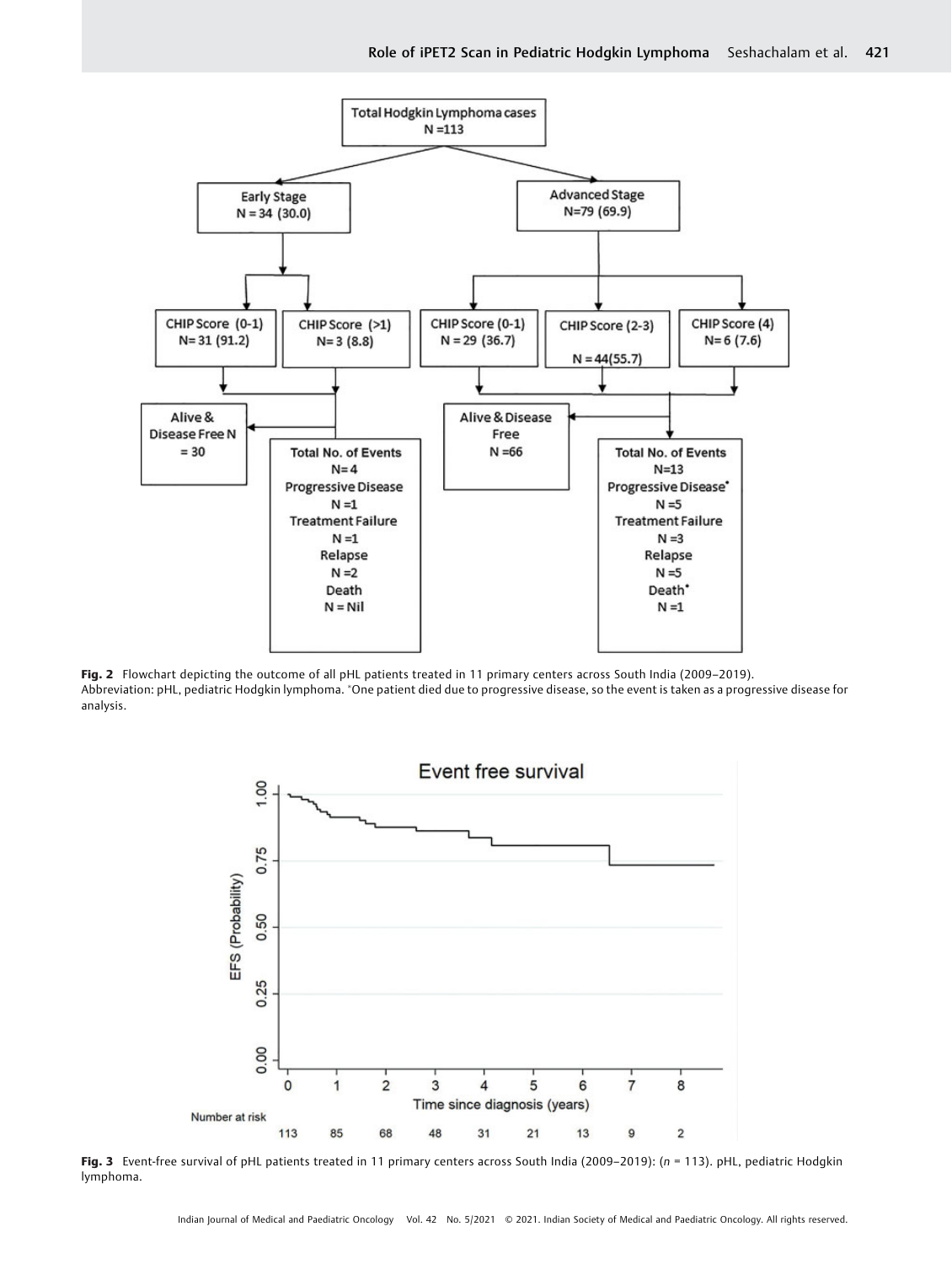

Fig. 2 Flowchart depicting the outcome of all pHL patients treated in 11 primary centers across South India (2009–2019). Abbreviation: pHL, pediatric Hodgkin lymphoma. \*One patient died due to progressive disease, so the event is taken as a progressive disease for analysis.



Fig. 3 Event-free survival of pHL patients treated in 11 primary centers across South India (2009–2019): (n = 113). pHL, pediatric Hodgkin lymphoma.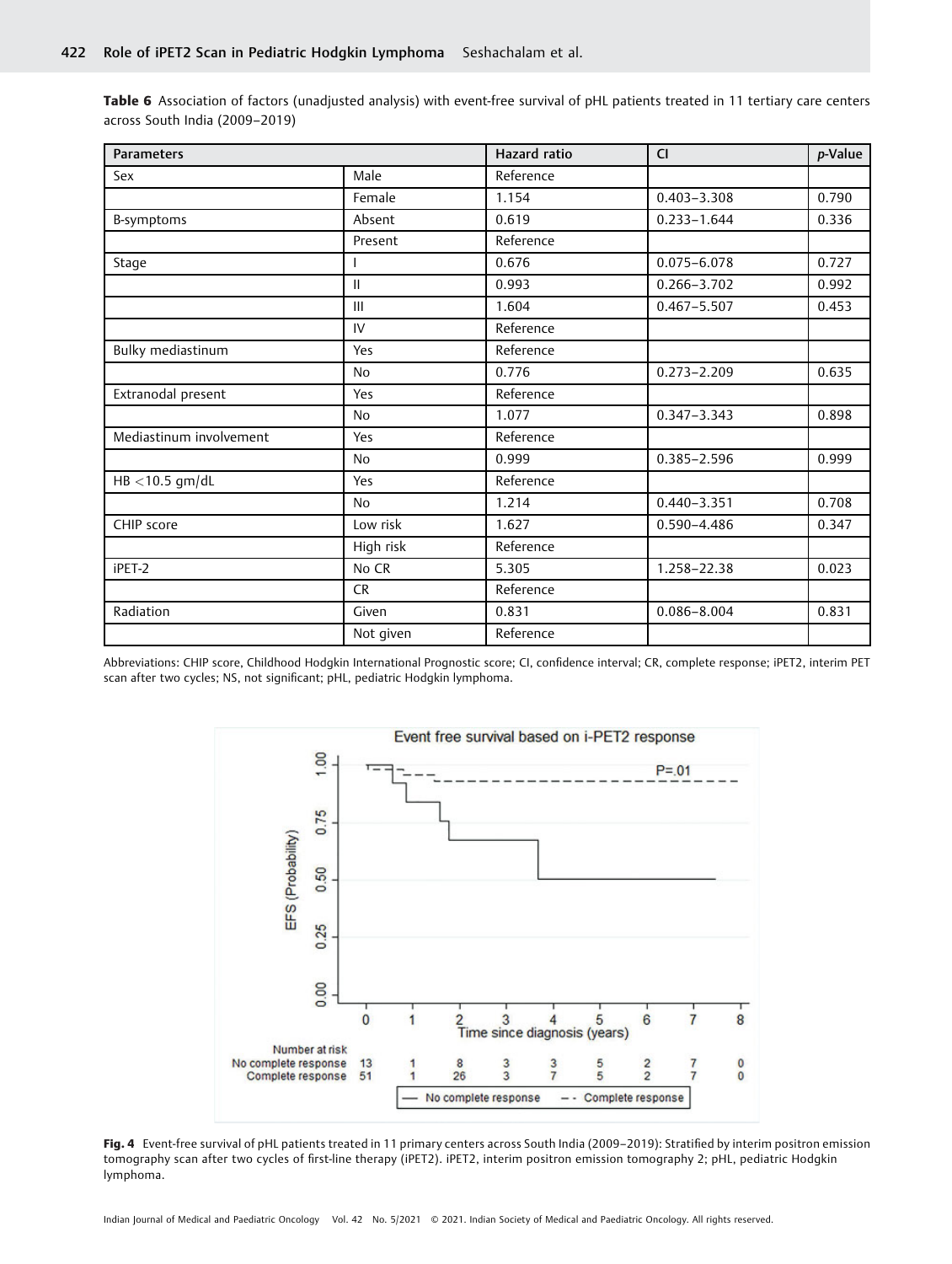Table 6 Association of factors (unadjusted analysis) with event-free survival of pHL patients treated in 11 tertiary care centers across South India (2009–2019)

| <b>Parameters</b>       |               | Hazard ratio | <b>CI</b>       | p-Value |
|-------------------------|---------------|--------------|-----------------|---------|
| Sex                     | Male          | Reference    |                 |         |
|                         | Female        | 1.154        | $0.403 - 3.308$ | 0.790   |
| B-symptoms              | Absent        | 0.619        | $0.233 - 1.644$ | 0.336   |
|                         | Present       | Reference    |                 |         |
| Stage                   |               | 0.676        | $0.075 - 6.078$ | 0.727   |
|                         | $\mathbf{II}$ | 0.993        | 0.266-3.702     | 0.992   |
|                         | III           | 1.604        | $0.467 - 5.507$ | 0.453   |
|                         | IV            | Reference    |                 |         |
| Bulky mediastinum       | Yes           | Reference    |                 |         |
|                         | <b>No</b>     | 0.776        | $0.273 - 2.209$ | 0.635   |
| Extranodal present      | Yes           | Reference    |                 |         |
|                         | <b>No</b>     | 1.077        | $0.347 - 3.343$ | 0.898   |
| Mediastinum involvement | Yes           | Reference    |                 |         |
|                         | <b>No</b>     | 0.999        | $0.385 - 2.596$ | 0.999   |
| $HB < 10.5$ gm/dL       | Yes           | Reference    |                 |         |
|                         | <b>No</b>     | 1.214        | $0.440 - 3.351$ | 0.708   |
| CHIP score              | Low risk      | 1.627        | 0.590-4.486     | 0.347   |
|                         | High risk     | Reference    |                 |         |
| iPET-2                  | No CR         | 5.305        | 1.258-22.38     | 0.023   |
|                         | <b>CR</b>     | Reference    |                 |         |
| Radiation               | Given         | 0.831        | $0.086 - 8.004$ | 0.831   |
|                         | Not given     | Reference    |                 |         |

Abbreviations: CHIP score, Childhood Hodgkin International Prognostic score; CI, confidence interval; CR, complete response; iPET2, interim PET scan after two cycles; NS, not significant; pHL, pediatric Hodgkin lymphoma.



Fig. 4 Event-free survival of pHL patients treated in 11 primary centers across South India (2009-2019): Stratified by interim positron emission tomography scan after two cycles of first-line therapy (iPET2). iPET2, interim positron emission tomography 2; pHL, pediatric Hodgkin lymphoma.

Indian Journal of Medical and Paediatric Oncology Vol. 42 No. 5/2021 © 2021. Indian Society of Medical and Paediatric Oncology. All rights reserved.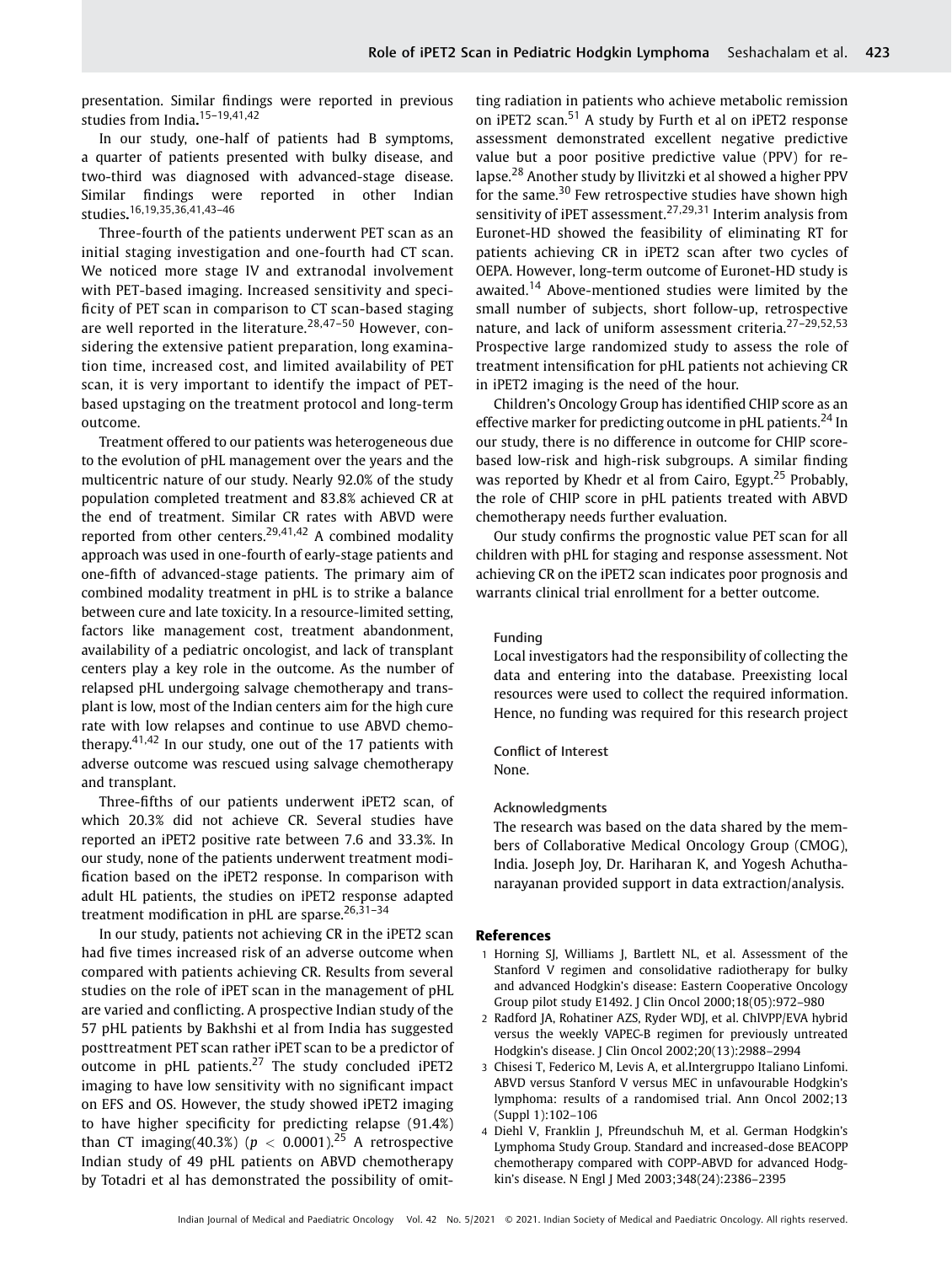presentation. Similar findings were reported in previous studies from India. 15–19,41,42

In our study, one-half of patients had B symptoms, a quarter of patients presented with bulky disease, and two-third was diagnosed with advanced-stage disease. Similar findings were reported in other Indian studies. 16,19,35,36,41,43–46

Three-fourth of the patients underwent PET scan as an initial staging investigation and one-fourth had CT scan. We noticed more stage IV and extranodal involvement with PET-based imaging. Increased sensitivity and specificity of PET scan in comparison to CT scan-based staging are well reported in the literature.<sup>28,47-50</sup> However, considering the extensive patient preparation, long examination time, increased cost, and limited availability of PET scan, it is very important to identify the impact of PETbased upstaging on the treatment protocol and long-term outcome.

Treatment offered to our patients was heterogeneous due to the evolution of pHL management over the years and the multicentric nature of our study. Nearly 92.0% of the study population completed treatment and 83.8% achieved CR at the end of treatment. Similar CR rates with ABVD were reported from other centers.<sup>29,41,42</sup> A combined modality approach was used in one-fourth of early-stage patients and one-fifth of advanced-stage patients. The primary aim of combined modality treatment in pHL is to strike a balance between cure and late toxicity. In a resource-limited setting, factors like management cost, treatment abandonment, availability of a pediatric oncologist, and lack of transplant centers play a key role in the outcome. As the number of relapsed pHL undergoing salvage chemotherapy and transplant is low, most of the Indian centers aim for the high cure rate with low relapses and continue to use ABVD chemotherapy.<sup>41,42</sup> In our study, one out of the 17 patients with adverse outcome was rescued using salvage chemotherapy and transplant.

Three-fifths of our patients underwent iPET2 scan, of which 20.3% did not achieve CR. Several studies have reported an iPET2 positive rate between 7.6 and 33.3%. In our study, none of the patients underwent treatment modification based on the iPET2 response. In comparison with adult HL patients, the studies on iPET2 response adapted treatment modification in pHL are sparse.<sup>26,31-34</sup>

In our study, patients not achieving CR in the iPET2 scan had five times increased risk of an adverse outcome when compared with patients achieving CR. Results from several studies on the role of iPET scan in the management of pHL are varied and conflicting. A prospective Indian study of the 57 pHL patients by Bakhshi et al from India has suggested posttreatment PET scan rather iPET scan to be a predictor of outcome in pHL patients.<sup>27</sup> The study concluded iPET2 imaging to have low sensitivity with no significant impact on EFS and OS. However, the study showed iPET2 imaging to have higher specificity for predicting relapse (91.4%) than CT imaging(40.3%) ( $p < 0.0001$ ).<sup>25</sup> A retrospective Indian study of 49 pHL patients on ABVD chemotherapy by Totadri et al has demonstrated the possibility of omitting radiation in patients who achieve metabolic remission on iPET2 scan.<sup>51</sup> A study by Furth et al on iPET2 response assessment demonstrated excellent negative predictive value but a poor positive predictive value (PPV) for relapse.<sup>28</sup> Another study by Ilivitzki et al showed a higher PPV for the same.<sup>30</sup> Few retrospective studies have shown high sensitivity of iPET assessment.<sup>27,29,31</sup> Interim analysis from Euronet-HD showed the feasibility of eliminating RT for patients achieving CR in iPET2 scan after two cycles of OEPA. However, long-term outcome of Euronet-HD study is awaited.<sup>14</sup> Above-mentioned studies were limited by the small number of subjects, short follow-up, retrospective nature, and lack of uniform assessment criteria.27–29,52,53 Prospective large randomized study to assess the role of treatment intensification for pHL patients not achieving CR in iPET2 imaging is the need of the hour.

Children's Oncology Group has identified CHIP score as an effective marker for predicting outcome in pHL patients.<sup>24</sup> In our study, there is no difference in outcome for CHIP scorebased low-risk and high-risk subgroups. A similar finding was reported by Khedr et al from Cairo, Egypt.<sup>25</sup> Probably, the role of CHIP score in pHL patients treated with ABVD chemotherapy needs further evaluation.

Our study confirms the prognostic value PET scan for all children with pHL for staging and response assessment. Not achieving CR on the iPET2 scan indicates poor prognosis and warrants clinical trial enrollment for a better outcome.

## Funding

Local investigators had the responsibility of collecting the data and entering into the database. Preexisting local resources were used to collect the required information. Hence, no funding was required for this research project

#### Conflict of Interest None.

# Acknowledgments

The research was based on the data shared by the members of Collaborative Medical Oncology Group (CMOG), India. Joseph Joy, Dr. Hariharan K, and Yogesh Achuthanarayanan provided support in data extraction/analysis.

#### References

- 1 Horning SJ, Williams J, Bartlett NL, et al. Assessment of the Stanford V regimen and consolidative radiotherapy for bulky and advanced Hodgkin's disease: Eastern Cooperative Oncology Group pilot study E1492. J Clin Oncol 2000;18(05):972–980
- 2 Radford JA, Rohatiner AZS, Ryder WDJ, et al. ChlVPP/EVA hybrid versus the weekly VAPEC-B regimen for previously untreated Hodgkin's disease. J Clin Oncol 2002;20(13):2988–2994
- 3 Chisesi T, Federico M, Levis A, et al.Intergruppo Italiano Linfomi. ABVD versus Stanford V versus MEC in unfavourable Hodgkin's lymphoma: results of a randomised trial. Ann Oncol 2002;13 (Suppl 1):102–106
- 4 Diehl V, Franklin J, Pfreundschuh M, et al. German Hodgkin's Lymphoma Study Group. Standard and increased-dose BEACOPP chemotherapy compared with COPP-ABVD for advanced Hodgkin's disease. N Engl J Med 2003;348(24):2386–2395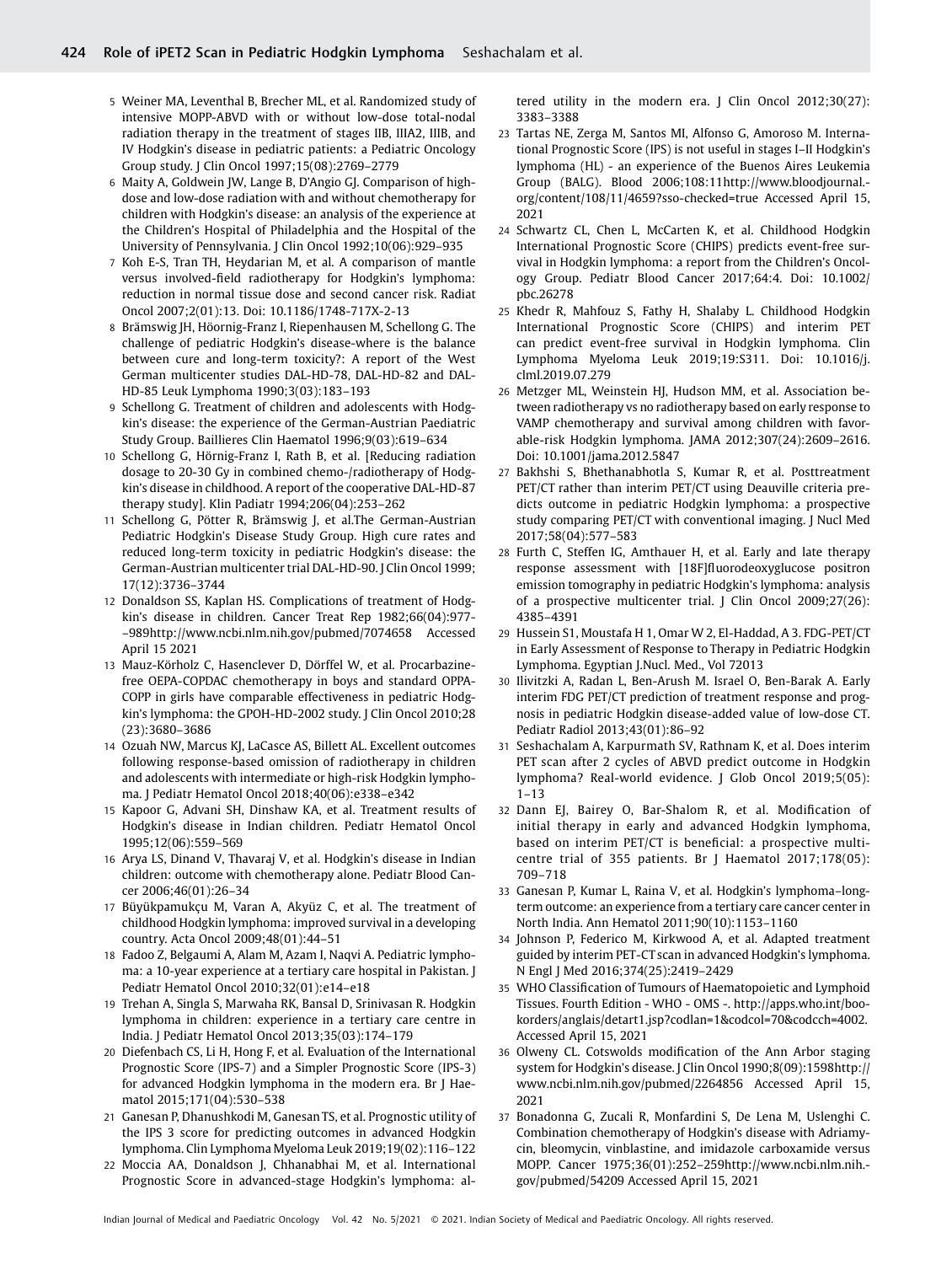- 5 Weiner MA, Leventhal B, Brecher ML, et al. Randomized study of intensive MOPP-ABVD with or without low-dose total-nodal radiation therapy in the treatment of stages IIB, IIIA2, IIIB, and IV Hodgkin's disease in pediatric patients: a Pediatric Oncology Group study. J Clin Oncol 1997;15(08):2769–2779
- 6 Maity A, Goldwein JW, Lange B, D'Angio GJ. Comparison of highdose and low-dose radiation with and without chemotherapy for children with Hodgkin's disease: an analysis of the experience at the Children's Hospital of Philadelphia and the Hospital of the University of Pennsylvania. J Clin Oncol 1992;10(06):929–935
- 7 Koh E-S, Tran TH, Heydarian M, et al. A comparison of mantle versus involved-field radiotherapy for Hodgkin's lymphoma: reduction in normal tissue dose and second cancer risk. Radiat Oncol 2007;2(01):13. Doi: 10.1186/1748-717X-2-13
- 8 Brämswig JH, Höornig-Franz I, Riepenhausen M, Schellong G. The challenge of pediatric Hodgkin's disease-where is the balance between cure and long-term toxicity?: A report of the West German multicenter studies DAL-HD-78, DAL-HD-82 and DAL-HD-85 Leuk Lymphoma 1990;3(03):183–193
- 9 Schellong G. Treatment of children and adolescents with Hodgkin's disease: the experience of the German-Austrian Paediatric Study Group. Baillieres Clin Haematol 1996;9(03):619–634
- 10 Schellong G, Hörnig-Franz I, Rath B, et al. [Reducing radiation dosage to 20-30 Gy in combined chemo-/radiotherapy of Hodgkin's disease in childhood. A report of the cooperative DAL-HD-87 therapy study]. Klin Padiatr 1994;206(04):253–262
- 11 Schellong G, Pötter R, Brämswig J, et al.The German-Austrian Pediatric Hodgkin's Disease Study Group. High cure rates and reduced long-term toxicity in pediatric Hodgkin's disease: the German-Austrian multicenter trial DAL-HD-90. J Clin Oncol 1999; 17(12):3736–3744
- 12 Donaldson SS, Kaplan HS. Complications of treatment of Hodgkin's disease in children. Cancer Treat Rep 1982;66(04):977- –989<http://www.ncbi.nlm.nih.gov/pubmed/7074658> Accessed April 15 2021
- 13 Mauz-Körholz C, Hasenclever D, Dörffel W, et al. Procarbazinefree OEPA-COPDAC chemotherapy in boys and standard OPPA-COPP in girls have comparable effectiveness in pediatric Hodgkin's lymphoma: the GPOH-HD-2002 study. J Clin Oncol 2010;28 (23):3680–3686
- 14 Ozuah NW, Marcus KJ, LaCasce AS, Billett AL. Excellent outcomes following response-based omission of radiotherapy in children and adolescents with intermediate or high-risk Hodgkin lymphoma. J Pediatr Hematol Oncol 2018;40(06):e338–e342
- 15 Kapoor G, Advani SH, Dinshaw KA, et al. Treatment results of Hodgkin's disease in Indian children. Pediatr Hematol Oncol 1995;12(06):559–569
- 16 Arya LS, Dinand V, Thavaraj V, et al. Hodgkin's disease in Indian children: outcome with chemotherapy alone. Pediatr Blood Cancer 2006;46(01):26–34
- 17 Büyükpamukçu M, Varan A, Akyüz C, et al. The treatment of childhood Hodgkin lymphoma: improved survival in a developing country. Acta Oncol 2009;48(01):44–51
- 18 Fadoo Z, Belgaumi A, Alam M, Azam I, Naqvi A. Pediatric lymphoma: a 10-year experience at a tertiary care hospital in Pakistan. J Pediatr Hematol Oncol 2010;32(01):e14–e18
- 19 Trehan A, Singla S, Marwaha RK, Bansal D, Srinivasan R. Hodgkin lymphoma in children: experience in a tertiary care centre in India. J Pediatr Hematol Oncol 2013;35(03):174–179
- 20 Diefenbach CS, Li H, Hong F, et al. Evaluation of the International Prognostic Score (IPS-7) and a Simpler Prognostic Score (IPS-3) for advanced Hodgkin lymphoma in the modern era. Br J Haematol 2015;171(04):530–538
- 21 Ganesan P, Dhanushkodi M, Ganesan TS, et al. Prognostic utility of the IPS 3 score for predicting outcomes in advanced Hodgkin lymphoma. Clin Lymphoma Myeloma Leuk 2019;19(02):116–122
- 22 Moccia AA, Donaldson J, Chhanabhai M, et al. International Prognostic Score in advanced-stage Hodgkin's lymphoma: al-

tered utility in the modern era. [ Clin Oncol 2012;30(27): 3383–3388

- 23 Tartas NE, Zerga M, Santos MI, Alfonso G, Amoroso M. International Prognostic Score (IPS) is not useful in stages I–II Hodgkin's lymphoma (HL) - an experience of the Buenos Aires Leukemia Group (BALG). Blood 2006;108:1[1http://www.bloodjournal.](http://www.bloodjournal.org/content/108/11/4659?sso-checked=true) [org/content/108/11/4659?sso-checked=true](http://www.bloodjournal.org/content/108/11/4659?sso-checked=true) Accessed April 15, 2021
- 24 Schwartz CL, Chen L, McCarten K, et al. Childhood Hodgkin International Prognostic Score (CHIPS) predicts event-free survival in Hodgkin lymphoma: a report from the Children's Oncology Group. Pediatr Blood Cancer 2017;64:4. Doi: 10.1002/ pbc.26278
- 25 Khedr R, Mahfouz S, Fathy H, Shalaby L. Childhood Hodgkin International Prognostic Score (CHIPS) and interim PET can predict event-free survival in Hodgkin lymphoma. Clin Lymphoma Myeloma Leuk 2019;19:S311. Doi: 10.1016/j. clml.2019.07.279
- 26 Metzger ML, Weinstein HJ, Hudson MM, et al. Association between radiotherapy vs no radiotherapy based on early response to VAMP chemotherapy and survival among children with favorable-risk Hodgkin lymphoma. JAMA 2012;307(24):2609–2616. Doi: 10.1001/jama.2012.5847
- 27 Bakhshi S, Bhethanabhotla S, Kumar R, et al. Posttreatment PET/CT rather than interim PET/CT using Deauville criteria predicts outcome in pediatric Hodgkin lymphoma: a prospective study comparing PET/CT with conventional imaging. J Nucl Med 2017;58(04):577–583
- 28 Furth C, Steffen IG, Amthauer H, et al. Early and late therapy response assessment with [18F]fluorodeoxyglucose positron emission tomography in pediatric Hodgkin's lymphoma: analysis of a prospective multicenter trial. J Clin Oncol 2009;27(26): 4385–4391
- 29 Hussein S1, Moustafa H 1, Omar W 2, El-Haddad, A 3. FDG-PET/CT in Early Assessment of Response to Therapy in Pediatric Hodgkin Lymphoma. Egyptian J.Nucl. Med., Vol 72013
- 30 Ilivitzki A, Radan L, Ben-Arush M. Israel O, Ben-Barak A. Early interim FDG PET/CT prediction of treatment response and prognosis in pediatric Hodgkin disease-added value of low-dose CT. Pediatr Radiol 2013;43(01):86–92
- 31 Seshachalam A, Karpurmath SV, Rathnam K, et al. Does interim PET scan after 2 cycles of ABVD predict outcome in Hodgkin lymphoma? Real-world evidence. J Glob Oncol 2019;5(05): 1–13
- 32 Dann EJ, Bairey O, Bar-Shalom R, et al. Modification of initial therapy in early and advanced Hodgkin lymphoma, based on interim PET/CT is beneficial: a prospective multicentre trial of 355 patients. Br J Haematol 2017;178(05): 709–718
- 33 Ganesan P, Kumar L, Raina V, et al. Hodgkin's lymphoma–longterm outcome: an experience from a tertiary care cancer center in North India. Ann Hematol 2011;90(10):1153–1160
- 34 Johnson P, Federico M, Kirkwood A, et al. Adapted treatment guided by interim PET-CT scan in advanced Hodgkin's lymphoma. N Engl J Med 2016;374(25):2419–2429
- 35 WHO Classification of Tumours of Haematopoietic and Lymphoid Tissues. Fourth Edition - WHO - OMS -. http://apps.who.int/bookorders/anglais/detart1.jsp?codlan=1&codcol=70&codcch=4002. Accessed April 15, 2021
- 36 Olweny CL. Cotswolds modification of the Ann Arbor staging system for Hodgkin's disease. J Clin Oncol 1990;8(09):1598[http://](http://www.ncbi.nlm.nih.gov/pubmed/2264856) [www.ncbi.nlm.nih.gov/pubmed/2264856](http://www.ncbi.nlm.nih.gov/pubmed/2264856) Accessed April 15, 2021
- 37 Bonadonna G, Zucali R, Monfardini S, De Lena M, Uslenghi C. Combination chemotherapy of Hodgkin's disease with Adriamycin, bleomycin, vinblastine, and imidazole carboxamide versus MOPP. Cancer 1975;36(01):252–25[9http://www.ncbi.nlm.nih.](http://www.ncbi.nlm.nih.gov/pubmed/54209) [gov/pubmed/54209](http://www.ncbi.nlm.nih.gov/pubmed/54209) Accessed April 15, 2021